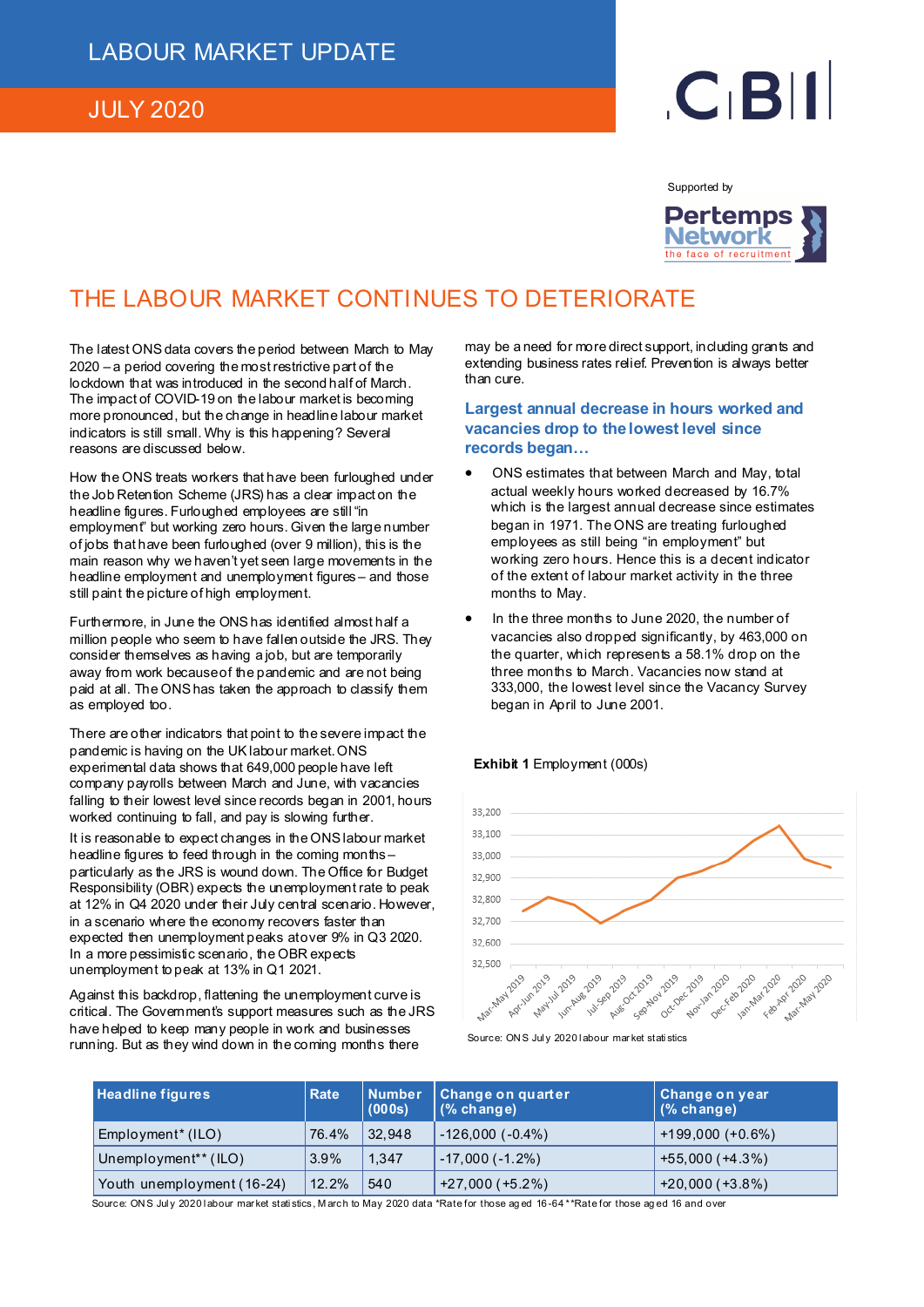### JULY 2020

# $C<sub>1</sub>B$

Supported by



## THE LABOUR MARKET CONTINUES TO DETERIORATE

The latest ONS data covers the period between March to May 2020 – a period covering the most restrictive part of the lockdown that was introduced in the second half of March. The impact of COVID-19 on the labour market is becoming more pronounced, but the change in headline labour market indicators is still small. Why is this happening? Several reasons are discussed below.

How the ONS treats workers that have been furloughed under the Job Retention Scheme (JRS) has a clear impact on the headline figures. Furloughed employees are still "in employment" but working zero hours. Given the large number of jobs that have been furloughed (over 9 million), this is the main reason why we haven't yet seen large movements in the headline employment and unemployment figures – and those still paint the picture of high employment.

Furthermore, in June the ONS has identified almost half a million people who seem to have fallen outside the JRS. They consider themselves as having a job, but are temporarily away from work because of the pandemic and are not being paid at all. The ONS has taken the approach to classify them as employed too.

There are other indicators that point to the severe impact the pandemic is having on the UK labour market. ONS experimental data shows that 649,000 people have left company payrolls between March and June, with vacancies falling to their lowest level since records began in 2001, hours worked continuing to fall, and pay is slowing further.

It is reasonable to expect changes in the ONS labour market headline figures to feed through in the coming months – particularly as the JRS is wound down. The Office for Budget Responsibility (OBR) expects the unemployment rate to peak at 12% in Q4 2020 under their July central scenario. However, in a scenario where the economy recovers faster than expected then unemployment peaks at over 9% in Q3 2020. In a more pessimistic scenario, the OBR expects unemployment to peak at 13% in Q1 2021.

Against this backdrop, flattening the unemployment curve is critical. The Government's support measures such as the JRS have helped to keep many people in work and businesses running. But as they wind down in the coming months there

may be a need for more direct support, including grants and extending business rates relief. Prevention is always better than cure.

**Largest annual decrease in hours worked and vacancies drop to the lowest level since records began…** 

- ONS estimates that between March and May, total actual weekly hours worked decreased by 16.7% which is the largest annual decrease since estimates began in 1971. The ONS are treating furloughed employees as still being "in employment" but working zero hours. Hence this is a decent indicator of the extent of labour market activity in the three months to May.
- In the three months to June 2020, the number of vacancies also dropped significantly, by 463,000 on the quarter, which represents a 58.1% drop on the three months to March. Vacancies now stand at 333,000, the lowest level since the Vacancy Survey began in April to June 2001.

#### **Exhibit 1** Employment (000s)



Source: ON S Jul y 2020 l abour mar ket stati stics

| <b>Headline figures</b>          | <b>Rate</b> | <b>Number</b><br>(000s) | Change on quarter<br>$(%$ change) | ∥ Change on year ∣<br>$(%$ change) |
|----------------------------------|-------------|-------------------------|-----------------------------------|------------------------------------|
| Employment <sup>*</sup> (ILO)    | 76.4%       | 32,948                  | $-126,000(-0.4%)$                 | $+199,000 (+0.6%)$                 |
| Unemployment <sup>**</sup> (ILO) | 3.9%        | 1.347                   | $-17,000(-1.2\%)$                 | $+55,000(+4.3%)$                   |
| Youth unemployment (16-24)       | 12.2%       | 540                     | $+27,000 (+5.2%)$                 | $+20,000 (+3.8%)$                  |

Source: ONS July 2020 labour market statistics, March to May 2020 data \*Rate for those aged 16-64 \*\*Rate for those aged 16 and over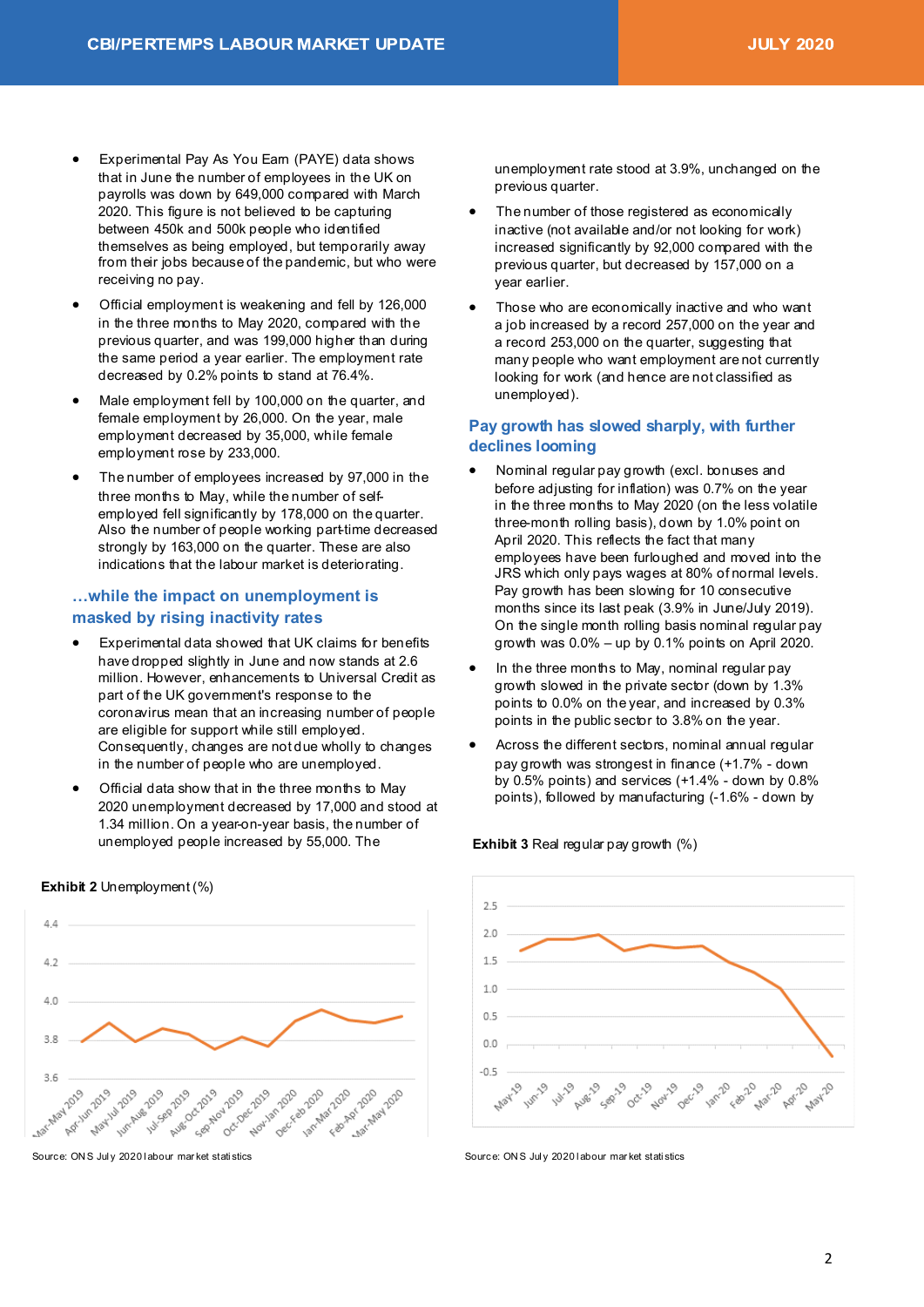- Experimental Pay As You Earn (PAYE) data shows that in June the number of employees in the UK on payrolls was down by 649,000 compared with March 2020. This figure is not believed to be capturing between 450k and 500k people who identified themselves as being employed, but temporarily away from their jobs because of the pandemic, but who were receiving no pay.
- Official employment is weakening and fell by 126,000 in the three months to May 2020, compared with the previous quarter, and was 199,000 higher than during the same period a year earlier. The employment rate decreased by 0.2% points to stand at 76.4%.
- Male employment fell by 100,000 on the quarter, and female employment by 26,000. On the year, male employment decreased by 35,000, while female employment rose by 233,000.
- The number of employees increased by 97,000 in the three months to May, while the number of selfemployed fell significantly by 178,000 on the quarter. Also the number of people working part-time decreased strongly by 163,000 on the quarter. These are also indications that the labour market is deteriorating.

#### **…while the impact on unemployment is masked by rising inactivity rates**

- Experimental data showed that UK claims for benefits have dropped slightly in June and now stands at 2.6 million. However, enhancements to Universal Credit as part of the UK government's response to the coronavirus mean that an increasing number of people are eligible for support while still employed. Consequently, changes are not due wholly to changes in the number of people who are unemployed.
- Official data show that in the three months to May 2020 unemployment decreased by 17,000 and stood at 1.34 million. On a year-on-year basis, the number of unemployed people increased by 55,000. The

 $4.4$  $4.2$  $\Delta \cap$ 38  $36$ lunchue zone 14-2019 Ave 2019 Augo Centro AV2019 May 1 May 14 2019 oct2019 12019 deviled Nove-2019 Neczonian zozo Decreen Januar ab 2020 Factor Fast 2020 - 2020 **Apr App App Alay** 

Source: ON S Jul y 2020 l abour mar ket stati stics

**Exhibit 2** Unemployment (%)

unemployment rate stood at 3.9%, unchanged on the previous quarter.

- The number of those registered as economically inactive (not available and/or not looking for work) increased significantly by 92,000 compared with the previous quarter, but decreased by 157,000 on a year earlier.
- Those who are economically inactive and who want a job increased by a record 257,000 on the year and a record 253,000 on the quarter, suggesting that many people who want employment are not currently looking for work (and hence are not classified as unemployed).

#### **Pay growth has slowed sharply, with further declines looming**

- Nominal regular pay growth (excl. bonuses and before adjusting for inflation) was 0.7% on the year in the three months to May 2020 (on the less volatile three-month rolling basis), down by 1.0% point on April 2020. This reflects the fact that many employees have been furloughed and moved into the JRS which only pays wages at 80% of normal levels. Pay growth has been slowing for 10 consecutive months since its last peak (3.9% in June/July 2019). On the single month rolling basis nominal regular pay growth was  $0.0\%$  – up by 0.1% points on April 2020.
- In the three months to May, nominal regular pay growth slowed in the private sector (down by 1.3% points to 0.0% on the year, and increased by 0.3% points in the public sector to 3.8% on the year.
- Across the different sectors, nominal annual regular pay growth was strongest in finance (+1.7% - down by 0.5% points) and services (+1.4% - down by 0.8% points), followed by manufacturing (-1.6% - down by



Source: ON S Jul y 2020 l abour mar ket stati stics

#### **Exhibit 3 Real regular pay growth (%)**

2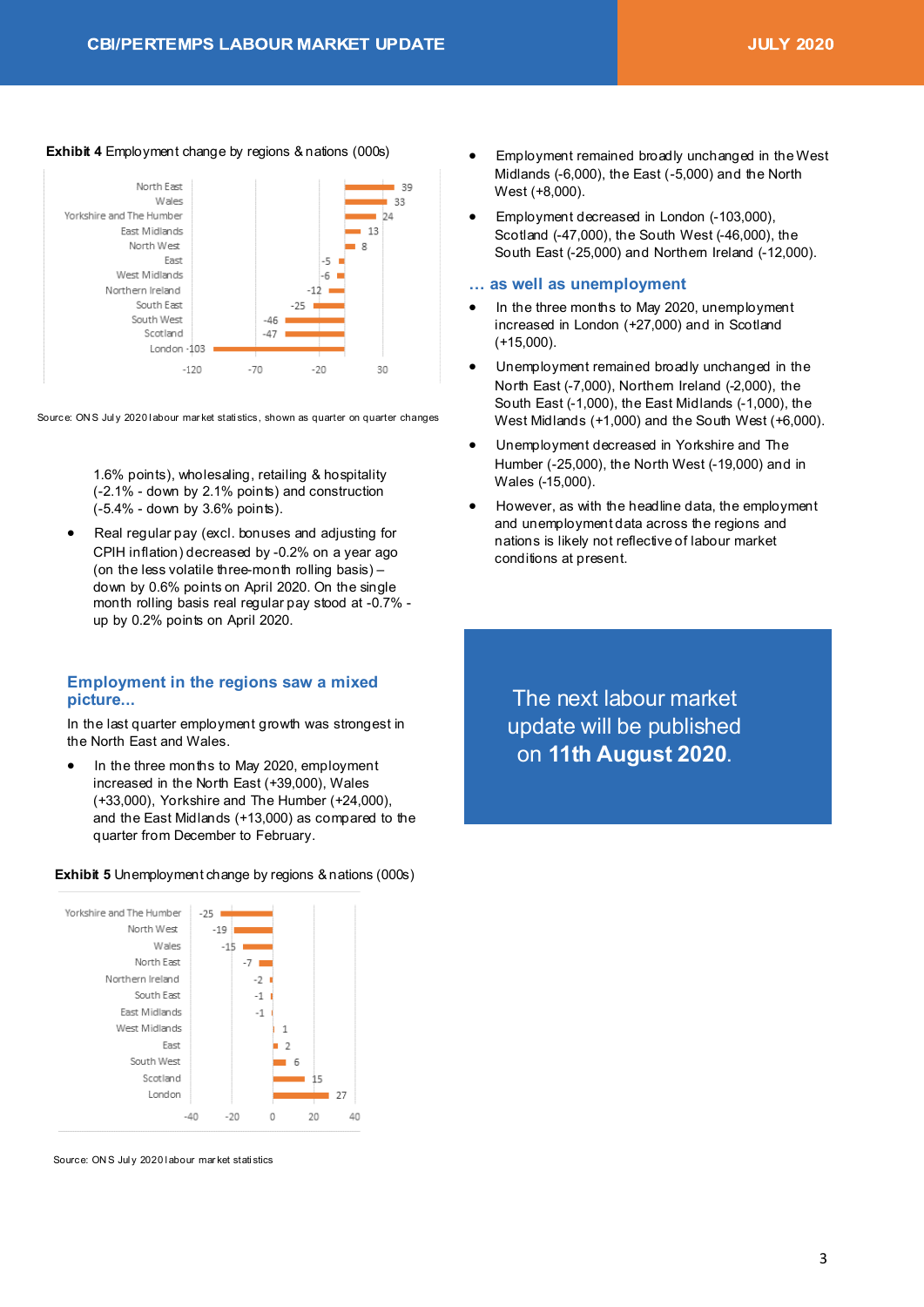#### **Exhibit 4** Employment change by regions & nations (000s)



Source: ONS July 2020 labour market statistics, shown as quarter on quarter changes

1.6% points), wholesaling, retailing & hospitality (-2.1% - down by 2.1% points) and construction (-5.4% - down by 3.6% points).

• Real regular pay (excl. bonuses and adjusting for CPIH inflation) decreased by -0.2% on a year ago (on the less volatile three-month rolling basis) – down by 0.6% points on April 2020. On the single month rolling basis real regular pay stood at -0.7% up by 0.2% points on April 2020.

#### **Employment in the regions saw a mixed picture...**

In the last quarter employment growth was strongest in the North East and Wales.

In the three months to May 2020, employment increased in the North East (+39,000), Wales (+33,000), Yorkshire and The Humber (+24,000), and the East Midlands (+13,000) as compared to the quarter from December to February.

#### **Exhibit 5** Unemployment change by regions & nations (000s)



Source: ON S Jul y 2020 l abour mar ket stati stics

- Employment remained broadly unchanged in the West Midlands (-6,000), the East (-5,000) and the North West (+8,000).
- Employment decreased in London (-103,000), Scotland (-47,000), the South West (-46,000), the South East (-25,000) and Northern Ireland (-12,000).

#### **… as well as unemployment**

- In the three months to May 2020, unemployment increased in London (+27,000) and in Scotland (+15,000).
- Unemployment remained broadly unchanged in the North East (-7,000), Northern Ireland (-2,000), the South East (-1,000), the East Midlands (-1,000), the West Midlands (+1,000) and the South West (+6,000).
- Unemployment decreased in Yorkshire and The Humber (-25,000), the North West (-19,000) and in Wales (-15,000).
- However, as with the headline data, the employment and unemployment data across the regions and nations is likely not reflective of labour market conditions at present.

The next labour market update will be published on **11th August 2020**.